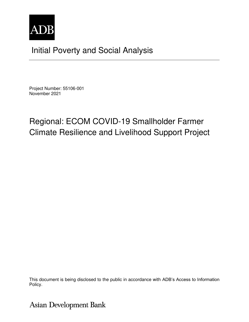

## Initial Poverty and Social Analysis

Project Number: 55106-001 November 2021

# Regional: ECOM COVID-19 Smallholder Farmer Climate Resilience and Livelihood Support Project

This document is being disclosed to the public in accordance with ADB's Access to Information Policy.

**Asian Development Bank**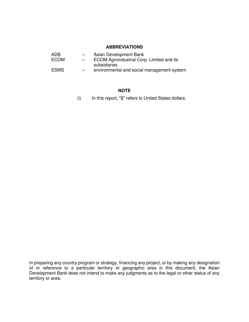## **ABBREVIATIONS**

| ECOM Agroindustrial Corp. Limited and its  |
|--------------------------------------------|
|                                            |
| environmental and social management system |
|                                            |

## **NOTE**

(i) In this report, "\$" refers to United States dollars.

In preparing any country program or strategy, financing any project, or by making any designation of or reference to a particular territory or geographic area in this document, the Asian Development Bank does not intend to make any judgments as to the legal or other status of any territory or area.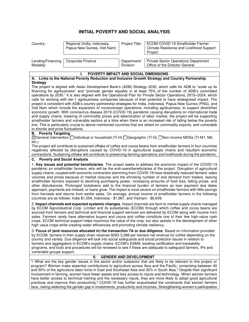## **INITIAL POVERTY AND SOCIAL ANALYSIS**

| Country:                       | Regional (India, Indonesia,<br>Papua New Guinea, Viet Nam) | Project Title:           | ECOM COVID-19 Smallholder Farmer<br>Climate Resilience and Livelihood Support<br>Project         |
|--------------------------------|------------------------------------------------------------|--------------------------|--------------------------------------------------------------------------------------------------|
| Lending/Financing<br>Modality: | Corporate Finance                                          | Department/<br>Division: | <b>Private Sector Operations Department</b><br>Office of the Director General                    |
|                                | <b>POVERTY IMPACT AND SOCIAL DIMENSIONS</b>                |                          | A. Links to the National Poverty Reduction and Inclusive Growth Strategy and Country Partnership |

#### **Strategy**

The project is aligned with Asian Development Bank's (ADB) Strategy 2030, which calls for ADB to "scale up its financing for agribusiness" and "promote gender equality in at least 75% of the number of ADB's committed operations by 2030." It is also aligned with the Operational Plan for Private Sector Operations, 2019–2024, which calls for working with tier-1 agribusiness companies because of their potential to have widespread impact. The project is consistent with ADB's country partnership strategies for India, Indonesia, Papua New Guinea (PNG), and Viet Nam which include the expansion of nonsovereign operations, including agribusiness, to support diversified economic growth. With coronavirus disease 2019 (COVID-19) pandemic causing disruptions on international trade and supply chains, lowering of commodity prices and deterioration of labor market, the project will be supporting smallholder farmers and vulnerable sectors at a time when there is an increased risk of falling below the poverty line. This is particularly crucial to above-mentioned countries that are reliant on commodity exports, and vulnerable to shocks and price fluctuations.

### **B. Poverty Targeting**:

General intervention Individual or household (TI-H) Geographic (TI-G) Non-income MDGs (TI-M1, M2, etc.)

The project will contribute to sustained offtake of coffee and cocoa beans from smallholder farmers in four countries negatively affected by disruptions caused by COVID-19 in agricultural supply chains and resultant economic contractions. Sustaining offtake will contribute to preserving farming operations and livelihoods during the pandemic.

### **C. Poverty and Social Analysis**

1. **Key issues and potential beneficiaries**. The project seeks to address the economic impact of the COVID-19 pandemic on smallholder farmers, who will be the end-users/beneficiaries of the project. Disruption of agricultural supply chains, coupled with economic contraction stemming from COVID-19 have drastically reduced farmers' sales volumes and prices because of market closures and the shrinking number of and demand from traders, leaving smallholder farmers exposed to declining purchasing power, increasing amounts of food loss, falling prices, and other disturbances. Prolonged lockdowns add to the financial burden of farmers as loan payment due dates approach, payments are missed, or loans grow. The impact is most severe on smallholder farmers with little savings from harvests and returns from earlier sales. On average, annual income of smallholder farmers in the following countries are as follows: India \$1,054, Indonesia - \$1,967, and Vietnam - \$6,609.

2. **Impact channels and expected systemic changes**. Impact channels are farm to market supply chains managed by ECOM Agroindustrial Corp. Limited and its subsidiaries (ECOM) through which coffee and cocoa beans are sourced from farmers and technical and financial support services are delivered by ECOM along with income from sales. Farmers rarely have alternative buyers and cocoa and coffee constitute one of their few high-value cash crops. ECOM technical support helps maximize the value of the crop, but also assists in the development of other high value crops while creating water efficiencies and promoting climate resiliency.

3. **Focus of (and resources allocated in) the transaction TA or due diligence**. Based on information provided by ECOM, farmers in their supply chain receives \$293-3,288 per hectare net revenue for coffee depending on the country and variety. Due diligence will look into social safeguards and social protection issues in relation to farmers and aggregators in ECOM's supply chains. ECOM's ESMS, existing certification and traceability programs, and tools and procedures will be reviewed to see if these are adequate to safeguard farmers, IPs and vulnerable groups support.

#### **II. GENDER AND DEVELOPMENT**

1. What are the key gender issues in the sector and/or subsector that are likely to be relevant to this project or program? Women make essential contributions to agriculture across Asia and the Pacific, comprising between 40 and 50% of the agriculture labor force in East and Southeast Asia and 30% in South Asia.<sup>a</sup> Despite their significant involvement in farming, women have fewer assets and less access to inputs and technology. When women farmers have better access to technical training and the necessary inputs, they are more likely to adopt good agricultural practices and improve their productivity.<sup>b</sup> COVID-19 has further exacerbated the constraints that women farmers face, risking widening the gender gap in investments, productivity and incomes. Strengthening women's participation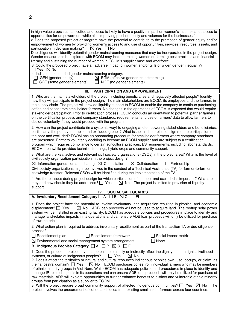| in high-value crops such as coffee and cocoa is likely to have a positive impact on women's incomes and access to<br>opportunities for empowerment while also improving product quality and volumes for the businesses. <sup>c</sup><br>2. Does the proposed project or program have the potential to contribute to the promotion of gender equity and/or<br>empowerment of women by providing women's access to and use of opportunities, services, resources, assets, and<br>$\boxtimes$ Yes $\Box$ No<br>participation in decision making?<br>Due diligence will identify potential gender mainstreaming measures that may be incorporated in the project design.<br>Gender measures to be explored with ECOM may include training women on farming best practices and financial<br>literacy and sustaining the number of women in ECOM's supplier base and workforce.<br>3. Could the proposed project have an adverse impact on women and/or girls or widen gender inequality?<br>$\Box$ Yes $\boxtimes$ No<br>4. Indicate the intended gender mainstreaming category: |
|-----------------------------------------------------------------------------------------------------------------------------------------------------------------------------------------------------------------------------------------------------------------------------------------------------------------------------------------------------------------------------------------------------------------------------------------------------------------------------------------------------------------------------------------------------------------------------------------------------------------------------------------------------------------------------------------------------------------------------------------------------------------------------------------------------------------------------------------------------------------------------------------------------------------------------------------------------------------------------------------------------------------------------------------------------------------------------|
| $\boxtimes$ EGM (effective gender mainstreaming)<br>$\Box$ GEN (gender equity)<br>SGE (some gender elements)<br>NGE (no gender elements)<br>$\perp$<br>$\perp$                                                                                                                                                                                                                                                                                                                                                                                                                                                                                                                                                                                                                                                                                                                                                                                                                                                                                                              |
| Ш.<br><b>PARTICIPATION AND EMPOWERMENT</b>                                                                                                                                                                                                                                                                                                                                                                                                                                                                                                                                                                                                                                                                                                                                                                                                                                                                                                                                                                                                                                  |
| 1. Who are the main stakeholders of the project, including beneficiaries and negatively affected people? Identify<br>how they will participate in the project design. The main stakeholders are ECOM, its employees and the farmers in<br>the supply chain. The project will provide liquidity support to ECOM to enable the company to continue purchasing<br>coffee and cocoa from smallholder farmers. No changes in the operations of ECOM is expected that would require<br>stakeholder participation. Prior to certification process, ECOM conducts an orientation to potential partner farmers<br>on the certification process and company standards, requirements, and use of farmers' data to allow farmers to<br>decide voluntarily if they would proceed with the program.                                                                                                                                                                                                                                                                                       |
| 2. How can the project contribute (in a systemic way) to engaging and empowering stakeholders and beneficiaries,<br>particularly, the poor, vulnerable, and excluded groups? What issues in the project design require participation of<br>the poor and excluded? ECOM has an onboarding procedure for smallholder farmers where company standards<br>are presented. Farmers voluntarily deciding to become an ECOM supplier and are subject to a certification<br>program which requires compliance to certain agricultural practices, ES requirements, including labor standards.<br>ECOM meanwhile provides technical trainings, hybrid crops and community support.                                                                                                                                                                                                                                                                                                                                                                                                     |
| 3. What are the key, active, and relevant civil society organizations (CSOs) in the project area? What is the level of<br>civil society organization participation in the project design?<br>$\boxtimes$ Information generation and sharing $\boxtimes$ Consultation<br>$\boxtimes$ Collaboration<br>$\Box$ Partnership<br>Civil society organizations might be involved in the conduct of a Technical Assistance (TA) for farmer-to-farmer<br>knowledge transfer. Relevant CSOs will be identified during the implementation of the TA.<br>4. Are there issues during project design for which participation of the poor and excluded is important? What are                                                                                                                                                                                                                                                                                                                                                                                                               |
| $\boxtimes$ No The project is limited to provision of liquidity<br>they and how should they be addressed? $\Box$ Yes<br>support.                                                                                                                                                                                                                                                                                                                                                                                                                                                                                                                                                                                                                                                                                                                                                                                                                                                                                                                                            |
| IV.<br><b>SOCIAL SAFEGUARDS</b>                                                                                                                                                                                                                                                                                                                                                                                                                                                                                                                                                                                                                                                                                                                                                                                                                                                                                                                                                                                                                                             |
| A. Involuntary Resettlement Category □ A □ B ⊠ C<br>□ FI                                                                                                                                                                                                                                                                                                                                                                                                                                                                                                                                                                                                                                                                                                                                                                                                                                                                                                                                                                                                                    |
| 1. Does the project have the potential to involve involuntary land acquisition resulting in physical and economic<br>displacement? □ Yes<br>$\boxtimes$ No<br>ADB loan proceeds will not be used to acquire land. The rooftop solar power<br>system will be installed in an existing facility. ECOM has adequate policies and procedures in place to identify and<br>manage land-related impacts in its operations and can ensure ADB loan proceeds will only be utilized for purchase<br>of raw materials.                                                                                                                                                                                                                                                                                                                                                                                                                                                                                                                                                                 |
| 2. What action plan is required to address involuntary resettlement as part of the transaction TA or due diligence<br>process?                                                                                                                                                                                                                                                                                                                                                                                                                                                                                                                                                                                                                                                                                                                                                                                                                                                                                                                                              |
| Resettlement plan<br>$\Box$ Resettlement framework<br>Social impact matrix<br>None                                                                                                                                                                                                                                                                                                                                                                                                                                                                                                                                                                                                                                                                                                                                                                                                                                                                                                                                                                                          |
| $\boxtimes$ Environmental and social management system arrangement<br>B. Indigenous Peoples Category $\Box A \Box B \boxtimes C$<br>I I FI                                                                                                                                                                                                                                                                                                                                                                                                                                                                                                                                                                                                                                                                                                                                                                                                                                                                                                                                  |
| 1. Does the proposed project have the potential to directly or indirectly affect the dignity, human rights, livelihood                                                                                                                                                                                                                                                                                                                                                                                                                                                                                                                                                                                                                                                                                                                                                                                                                                                                                                                                                      |
| $\boxtimes$ No<br>systems, or culture of indigenous peoples?<br>II Yes<br>2. Does it affect the territories or natural and cultural resources indigenous peoples own, use, occupy, or claim, as<br>ECOM purchases coffee from individual farmers who may be members<br>their ancestral domain? $\Box$ Yes<br>$\boxtimes$ No<br>of ethnic minority groups in Viet Nam. While ECOM has adequate policies and procedures in place to identify and<br>manage IP-related impacts in its operations and can ensure ADB loan proceeds will only be utilized for purchase of<br>raw materials, ADB will explore opportunities to further enhance benefits to distinct and vulnerable ethnic minority<br>groups from participation as a supplier to ECOM.                                                                                                                                                                                                                                                                                                                            |
| 3. Will the project require broad community support of affected indigenous communities? $\Box$ Yes<br>The<br>$\bowtie$ No<br>project involves the procurement of coffee and cocoa from existing smallholder farmers across four countries.                                                                                                                                                                                                                                                                                                                                                                                                                                                                                                                                                                                                                                                                                                                                                                                                                                  |